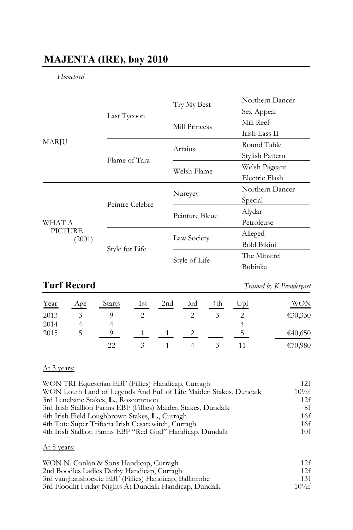## **MAJENTA (IRE), bay 2010**

### *Homebred*

|                                    |                 | Try My Best    | Northern Dancer    |
|------------------------------------|-----------------|----------------|--------------------|
| <b>MARJU</b>                       | Last Tycoon     |                | Sex Appeal         |
|                                    |                 | Mill Princess  | Mill Reef          |
|                                    |                 |                | Irish Lass II      |
|                                    |                 | Artaius        | Round Table        |
|                                    | Flame of Tara   |                | Stylish Pattern    |
|                                    |                 | Welsh Flame    | Welsh Pageant      |
|                                    |                 |                | Electric Flash     |
| WHAT A<br><b>PICTURE</b><br>(2001) | Peintre Celebre | Nureyev        | Northern Dancer    |
|                                    |                 |                | Special            |
|                                    |                 | Peinture Bleue | Alydar             |
|                                    |                 |                | Petroleuse         |
|                                    | Style for Life  | Law Society    | Alleged            |
|                                    |                 |                | <b>Bold Bikini</b> |
|                                    |                 | Style of Life  | The Minstrel       |
|                                    |                 |                | Bubinka            |

# **Turf Record** *Trained by K Prendergast*

| Year | Age | <b>Starts</b> | 1st                      | 2 <sub>nd</sub> | 3rd    | 4th  | Upl | WON     |
|------|-----|---------------|--------------------------|-----------------|--------|------|-----|---------|
| 2013 |     |               |                          | ٠               |        |      |     | €30,330 |
| 2014 |     |               | $\overline{\phantom{a}}$ | $\,$            | $\sim$ | $\,$ |     | ٠       |
| 2015 | C   |               |                          |                 |        |      |     | €40,650 |
|      |     | 22            |                          |                 |        |      |     | €70,980 |

#### At 3 years:

| WON TRI Equestrian EBF (Fillies) Handicap, Curragh                | 12f          |
|-------------------------------------------------------------------|--------------|
| WON Louth Land of Legends And Full of Life Maiden Stakes, Dundalk | $10^{1/2}$ f |
| 3rd Lenebane Stakes, L., Roscommon                                | 12f          |
| 3rd Irish Stallion Farms EBF (Fillies) Maiden Stakes, Dundalk     | 8f           |
| 4th Irish Field Loughbrown Stakes, L., Curragh                    | 16f          |
| 4th Tote Super Trifecta Irish Cesarewitch, Curragh                | 16f          |
| 4th Irish Stallion Farms EBF "Red God" Handicap, Dundalk          | 10f          |
|                                                                   |              |

### At 5 years:

| WON N. Conlan & Sons Handicap, Curragh                  | 12f          |
|---------------------------------------------------------|--------------|
| 2nd Boodles Ladies Derby Handicap, Curragh              | 12f          |
| 3rd vaughanshoes.ie EBF (Fillies) Handicap, Ballinrobe  | 13f          |
| 3rd Floodlit Friday Nights At Dundalk Handicap, Dundalk | $10^{1/2}$ f |